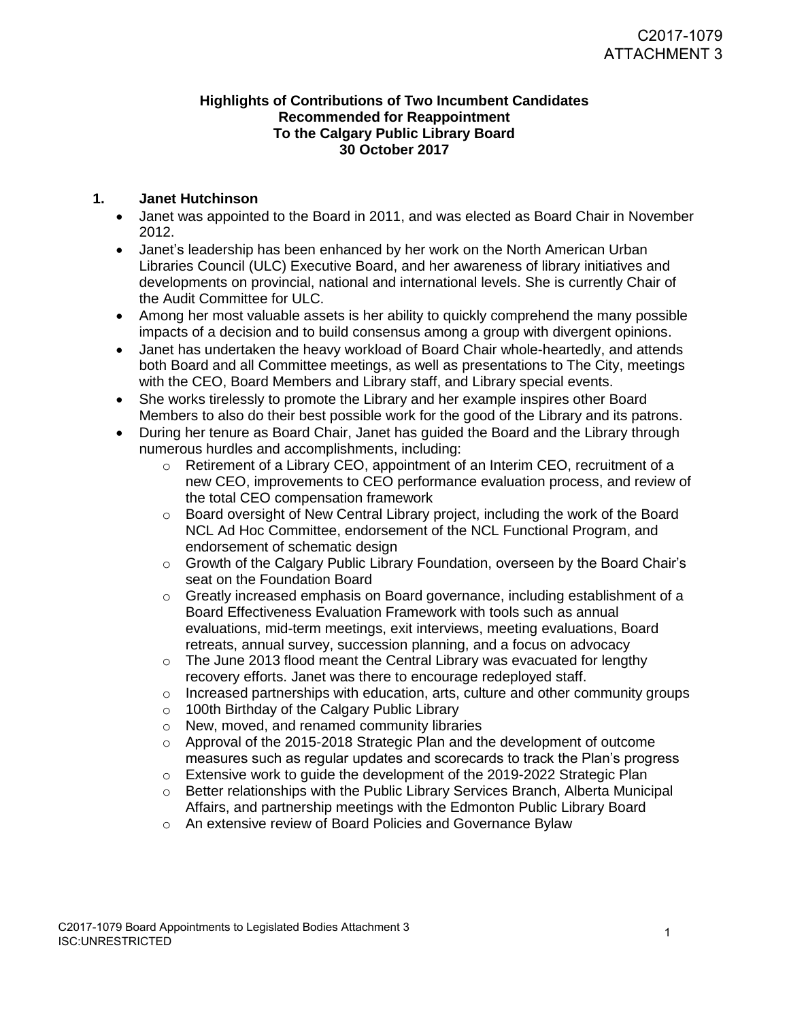## **Highlights of Contributions of Two Incumbent Candidates Recommended for Reappointment To the Calgary Public Library Board 30 October 2017**

## **1. Janet Hutchinson**

- Janet was appointed to the Board in 2011, and was elected as Board Chair in November 2012.
- Janet's leadership has been enhanced by her work on the North American Urban Libraries Council (ULC) Executive Board, and her awareness of library initiatives and developments on provincial, national and international levels. She is currently Chair of the Audit Committee for ULC.
- Among her most valuable assets is her ability to quickly comprehend the many possible impacts of a decision and to build consensus among a group with divergent opinions.
- Janet has undertaken the heavy workload of Board Chair whole-heartedly, and attends both Board and all Committee meetings, as well as presentations to The City, meetings with the CEO, Board Members and Library staff, and Library special events.
- She works tirelessly to promote the Library and her example inspires other Board Members to also do their best possible work for the good of the Library and its patrons.
- During her tenure as Board Chair, Janet has guided the Board and the Library through numerous hurdles and accomplishments, including:
	- o Retirement of a Library CEO, appointment of an Interim CEO, recruitment of a new CEO, improvements to CEO performance evaluation process, and review of the total CEO compensation framework
	- o Board oversight of New Central Library project, including the work of the Board NCL Ad Hoc Committee, endorsement of the NCL Functional Program, and endorsement of schematic design
	- o Growth of the Calgary Public Library Foundation, overseen by the Board Chair's seat on the Foundation Board
	- o Greatly increased emphasis on Board governance, including establishment of a Board Effectiveness Evaluation Framework with tools such as annual evaluations, mid-term meetings, exit interviews, meeting evaluations, Board retreats, annual survey, succession planning, and a focus on advocacy
	- $\circ$  The June 2013 flood meant the Central Library was evacuated for lengthy recovery efforts. Janet was there to encourage redeployed staff.
	- $\circ$  Increased partnerships with education, arts, culture and other community groups
	- o 100th Birthday of the Calgary Public Library
	- o New, moved, and renamed community libraries
	- o Approval of the 2015-2018 Strategic Plan and the development of outcome measures such as regular updates and scorecards to track the Plan's progress
	- o Extensive work to guide the development of the 2019-2022 Strategic Plan
	- o Better relationships with the Public Library Services Branch, Alberta Municipal Affairs, and partnership meetings with the Edmonton Public Library Board
	- o An extensive review of Board Policies and Governance Bylaw